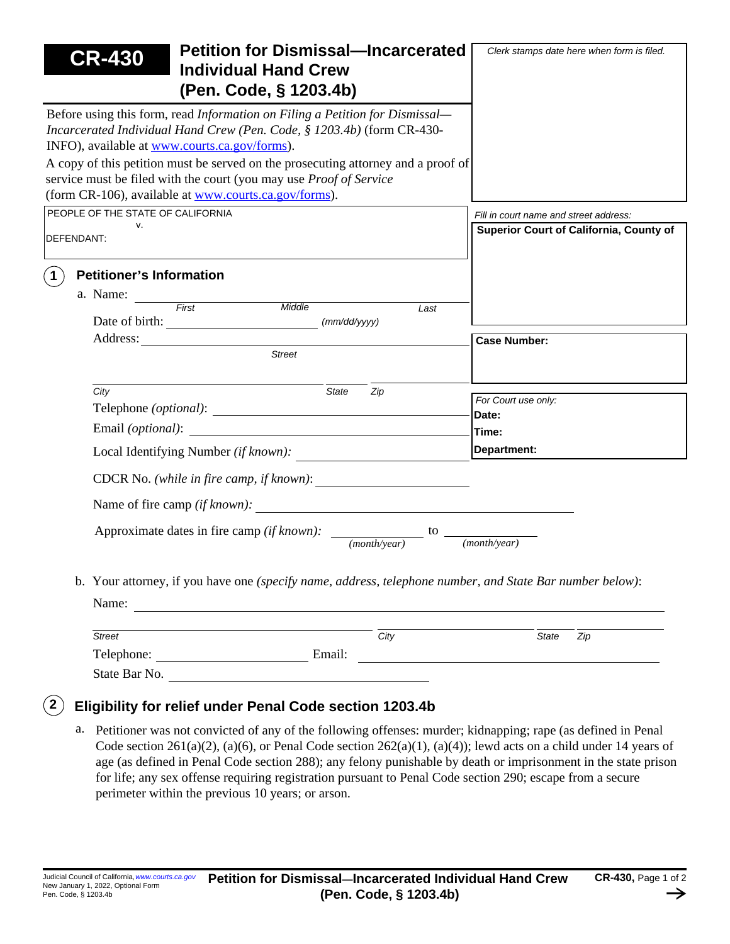| <b>CR-430</b>                                     | <b>Petition for Dismissal-Incarcerated</b><br><b>Individual Hand Crew</b><br>(Pen. Code, § 1203.4b)                                                                                                                                                                                                                                                                                                                               | Clerk stamps date here when form is filed. |  |  |  |  |
|---------------------------------------------------|-----------------------------------------------------------------------------------------------------------------------------------------------------------------------------------------------------------------------------------------------------------------------------------------------------------------------------------------------------------------------------------------------------------------------------------|--------------------------------------------|--|--|--|--|
| INFO), available at www.courts.ca.gov/forms).     | Before using this form, read Information on Filing a Petition for Dismissal—<br>Incarcerated Individual Hand Crew (Pen. Code, § 1203.4b) (form CR-430-                                                                                                                                                                                                                                                                            |                                            |  |  |  |  |
|                                                   | A copy of this petition must be served on the prosecuting attorney and a proof of<br>service must be filed with the court (you may use <i>Proof of Service</i><br>(form CR-106), available at www.courts.ca.gov/forms).                                                                                                                                                                                                           |                                            |  |  |  |  |
| PEOPLE OF THE STATE OF CALIFORNIA                 |                                                                                                                                                                                                                                                                                                                                                                                                                                   | Fill in court name and street address:     |  |  |  |  |
| v.<br>DEFENDANT:                                  | <b>Superior Court of California, County of</b>                                                                                                                                                                                                                                                                                                                                                                                    |                                            |  |  |  |  |
| <b>Petitioner's Information</b><br>$\overline{1}$ | a. Name: First Middle<br>Last<br>(mm/dd/yyyy)                                                                                                                                                                                                                                                                                                                                                                                     |                                            |  |  |  |  |
| Address:                                          |                                                                                                                                                                                                                                                                                                                                                                                                                                   | <b>Case Number:</b>                        |  |  |  |  |
|                                                   | <b>Street</b>                                                                                                                                                                                                                                                                                                                                                                                                                     |                                            |  |  |  |  |
| City                                              | <b>State</b><br>Zip                                                                                                                                                                                                                                                                                                                                                                                                               | For Court use only:                        |  |  |  |  |
|                                                   |                                                                                                                                                                                                                                                                                                                                                                                                                                   | Date:                                      |  |  |  |  |
|                                                   |                                                                                                                                                                                                                                                                                                                                                                                                                                   | Time:                                      |  |  |  |  |
|                                                   | Local Identifying Number (if known):                                                                                                                                                                                                                                                                                                                                                                                              | Department:                                |  |  |  |  |
|                                                   |                                                                                                                                                                                                                                                                                                                                                                                                                                   |                                            |  |  |  |  |
|                                                   |                                                                                                                                                                                                                                                                                                                                                                                                                                   |                                            |  |  |  |  |
|                                                   | Approximate dates in fire camp (if known): $\frac{1}{(month \text{year})}$<br>to<br>$(month\$ {year})                                                                                                                                                                                                                                                                                                                             |                                            |  |  |  |  |
|                                                   | b. Your attorney, if you have one (specify name, address, telephone number, and State Bar number below):<br>Name: $\frac{1}{\sqrt{1-\frac{1}{2}}}\left\{ \frac{1}{2}, \frac{1}{2}, \frac{1}{2}, \frac{1}{2}, \frac{1}{2}\right\}$                                                                                                                                                                                                 |                                            |  |  |  |  |
| <b>Street</b>                                     | $\frac{1}{\sqrt{1-\frac{1}{\sqrt{1-\frac{1}{\sqrt{1-\frac{1}{\sqrt{1-\frac{1}{\sqrt{1-\frac{1}{\sqrt{1-\frac{1}{\sqrt{1-\frac{1}{\sqrt{1-\frac{1}{\sqrt{1-\frac{1}{\sqrt{1-\frac{1}{\sqrt{1-\frac{1}{\sqrt{1-\frac{1}{\sqrt{1-\frac{1}{\sqrt{1-\frac{1}{\sqrt{1-\frac{1}{\sqrt{1-\frac{1}{\sqrt{1-\frac{1}{\sqrt{1-\frac{1}{\sqrt{1-\frac{1}{\sqrt{1-\frac{1}{\sqrt{1-\frac{1}{\sqrt{1-\frac{1}{\sqrt{1-\frac{1}{\sqrt{1-\frac{1$ | <b>State</b><br>Zip                        |  |  |  |  |
|                                                   | Telephone: Email: Email:                                                                                                                                                                                                                                                                                                                                                                                                          |                                            |  |  |  |  |
|                                                   | State Bar No.                                                                                                                                                                                                                                                                                                                                                                                                                     |                                            |  |  |  |  |

a. Petitioner was not convicted of any of the following offenses: murder; kidnapping; rape (as defined in Penal Code section 261(a)(2), (a)(6), or Penal Code section 262(a)(1), (a)(4)); lewd acts on a child under 14 years of age (as defined in Penal Code section 288); any felony punishable by death or imprisonment in the state prison for life; any sex offense requiring registration pursuant to Penal Code section 290; escape from a secure perimeter within the previous 10 years; or arson.